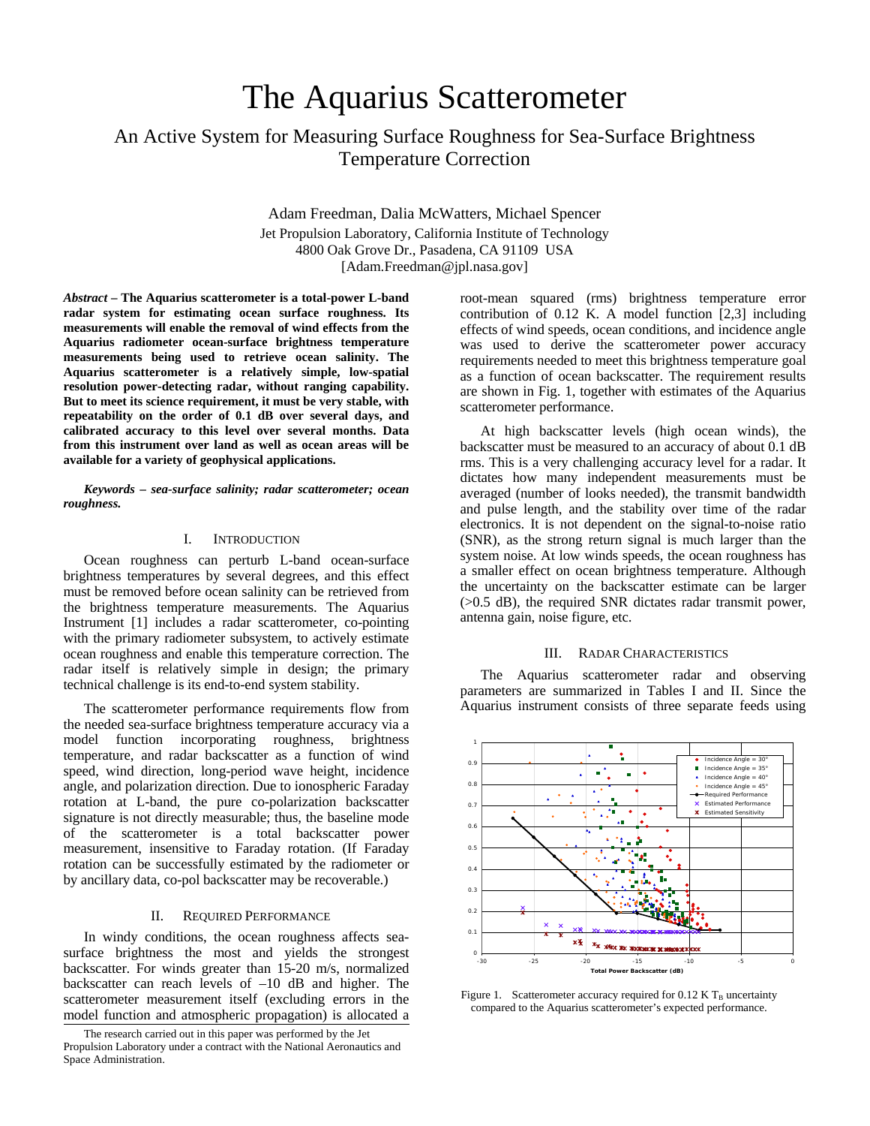# The Aquarius Scatterometer

# An Active System for Measuring Surface Roughness for Sea-Surface Brightness Temperature Correction

Adam Freedman, Dalia McWatters, Michael Spencer

Jet Propulsion Laboratory, California Institute of Technology 4800 Oak Grove Dr., Pasadena, CA 91109 USA [Adam.Freedman@jpl.nasa.gov]

*Abstract* **– The Aquarius scatterometer is a total-power L-band radar system for estimating ocean surface roughness. Its measurements will enable the removal of wind effects from the Aquarius radiometer ocean-surface brightness temperature measurements being used to retrieve ocean salinity. The Aquarius scatterometer is a relatively simple, low-spatial resolution power-detecting radar, without ranging capability. But to meet its science requirement, it must be very stable, with repeatability on the order of 0.1 dB over several days, and calibrated accuracy to this level over several months. Data from this instrument over land as well as ocean areas will be available for a variety of geophysical applications.** 

*Keywords – sea-surface salinity; radar scatterometer; ocean roughness.* 

# I. INTRODUCTION

Ocean roughness can perturb L-band ocean-surface brightness temperatures by several degrees, and this effect must be removed before ocean salinity can be retrieved from the brightness temperature measurements. The Aquarius Instrument [1] includes a radar scatterometer, co-pointing with the primary radiometer subsystem, to actively estimate ocean roughness and enable this temperature correction. The radar itself is relatively simple in design; the primary technical challenge is its end-to-end system stability.

The scatterometer performance requirements flow from the needed sea-surface brightness temperature accuracy via a model function incorporating roughness, brightness temperature, and radar backscatter as a function of wind speed, wind direction, long-period wave height, incidence angle, and polarization direction. Due to ionospheric Faraday rotation at L-band, the pure co-polarization backscatter signature is not directly measurable; thus, the baseline mode of the scatterometer is a total backscatter power measurement, insensitive to Faraday rotation. (If Faraday rotation can be successfully estimated by the radiometer or by ancillary data, co-pol backscatter may be recoverable.)

# II. REQUIRED PERFORMANCE

In windy conditions, the ocean roughness affects seasurface brightness the most and yields the strongest backscatter. For winds greater than 15-20 m/s, normalized backscatter can reach levels of –10 dB and higher. The scatterometer measurement itself (excluding errors in the model function and atmospheric propagation) is allocated a

root-mean squared (rms) brightness temperature error contribution of 0.12 K. A model function [2,3] including effects of wind speeds, ocean conditions, and incidence angle was used to derive the scatterometer power accuracy requirements needed to meet this brightness temperature goal as a function of ocean backscatter. The requirement results are shown in Fig. 1, together with estimates of the Aquarius scatterometer performance.

At high backscatter levels (high ocean winds), the backscatter must be measured to an accuracy of about 0.1 dB rms. This is a very challenging accuracy level for a radar. It dictates how many independent measurements must be averaged (number of looks needed), the transmit bandwidth and pulse length, and the stability over time of the radar electronics. It is not dependent on the signal-to-noise ratio (SNR), as the strong return signal is much larger than the system noise. At low winds speeds, the ocean roughness has a smaller effect on ocean brightness temperature. Although the uncertainty on the backscatter estimate can be larger (>0.5 dB), the required SNR dictates radar transmit power, antenna gain, noise figure, etc.

#### III. RADAR CHARACTERISTICS

The Aquarius scatterometer radar and observing parameters are summarized in Tables I and II. Since the Aquarius instrument consists of three separate feeds using



Figure 1. Scatterometer accuracy required for  $0.12$  K T<sub>B</sub> uncertainty compared to the Aquarius scatterometer's expected performance.

The research carried out in this paper was performed by the Jet Propulsion Laboratory under a contract with the National Aeronautics and Space Administration.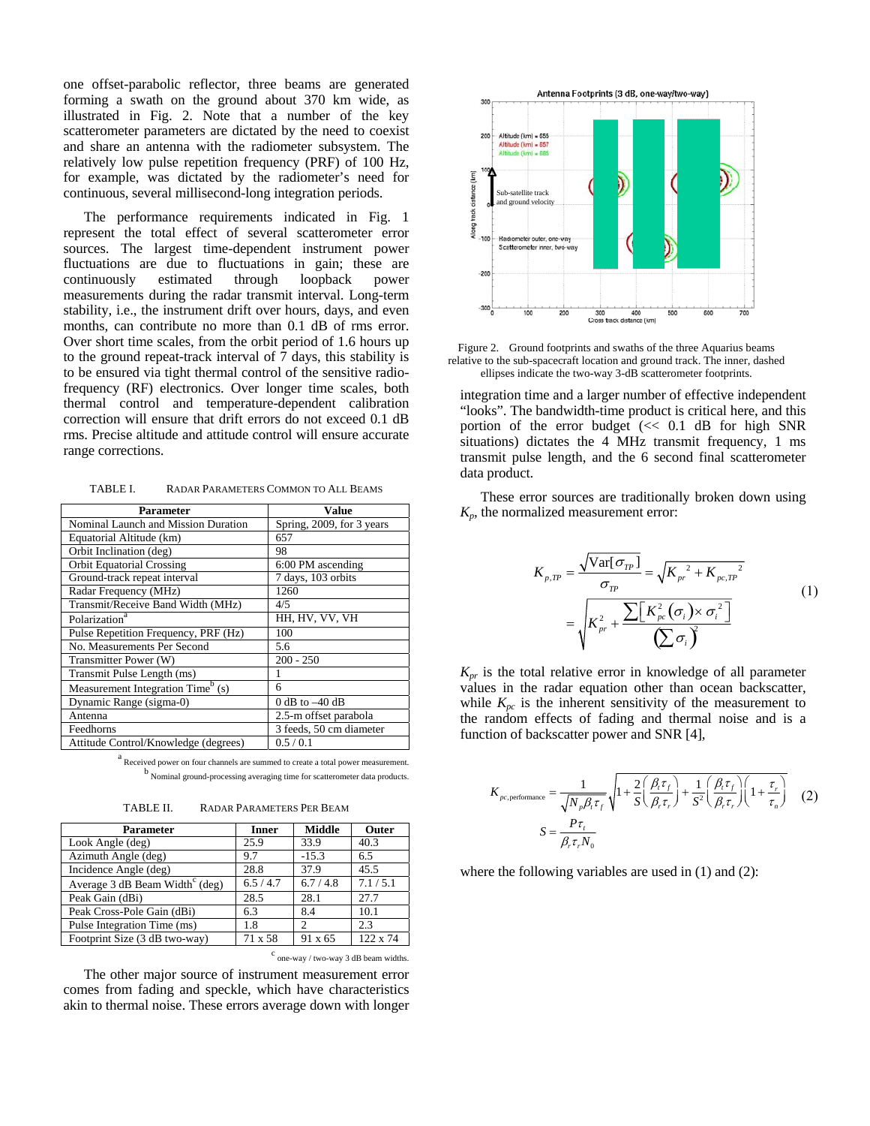one offset-parabolic reflector, three beams are generated forming a swath on the ground about 370 km wide, as illustrated in Fig. 2. Note that a number of the key scatterometer parameters are dictated by the need to coexist and share an antenna with the radiometer subsystem. The relatively low pulse repetition frequency (PRF) of 100 Hz, for example, was dictated by the radiometer's need for continuous, several millisecond-long integration periods.

The performance requirements indicated in Fig. 1 represent the total effect of several scatterometer error sources. The largest time-dependent instrument power fluctuations are due to fluctuations in gain; these are continuously estimated through loopback power measurements during the radar transmit interval. Long-term stability, i.e., the instrument drift over hours, days, and even months, can contribute no more than 0.1 dB of rms error. Over short time scales, from the orbit period of 1.6 hours up to the ground repeat-track interval of 7 days, this stability is to be ensured via tight thermal control of the sensitive radiofrequency (RF) electronics. Over longer time scales, both thermal control and temperature-dependent calibration correction will ensure that drift errors do not exceed 0.1 dB rms. Precise altitude and attitude control will ensure accurate range corrections.

TABLE I. RADAR PARAMETERS COMMON TO ALL BEAMS

| <b>Parameter</b>                              | Value                     |  |  |
|-----------------------------------------------|---------------------------|--|--|
| Nominal Launch and Mission Duration           | Spring, 2009, for 3 years |  |  |
| Equatorial Altitude (km)                      | 657                       |  |  |
| Orbit Inclination (deg)                       | 98                        |  |  |
| <b>Orbit Equatorial Crossing</b>              | 6:00 PM ascending         |  |  |
| Ground-track repeat interval                  | 7 days, 103 orbits        |  |  |
| Radar Frequency (MHz)                         | 1260                      |  |  |
| Transmit/Receive Band Width (MHz)             | 4/5                       |  |  |
| Polarization <sup>a</sup>                     | HH, HV, VV, VH            |  |  |
| Pulse Repetition Frequency, PRF (Hz)          | 100                       |  |  |
| No. Measurements Per Second                   | 5.6                       |  |  |
| Transmitter Power (W)                         | $200 - 250$               |  |  |
| Transmit Pulse Length (ms)                    | 1                         |  |  |
| Measurement Integration Time <sup>b</sup> (s) | 6                         |  |  |
| Dynamic Range (sigma-0)                       | 0 dB to $-40$ dB          |  |  |
| Antenna                                       | 2.5-m offset parabola     |  |  |
| Feedhorns                                     | 3 feeds, 50 cm diameter   |  |  |
| Attitude Control/Knowledge (degrees)          | 0.5/0.1                   |  |  |

<sup>a</sup> Received power on four channels are summed to create a total power measurement. b Nominal ground-processing averaging time for scatterometer data products.

TABLE II. RADAR PARAMETERS PER BEAM

| <b>Parameter</b>                             | <b>Inner</b> | <b>Middle</b> | Outer    |
|----------------------------------------------|--------------|---------------|----------|
| Look Angle (deg)                             | 25.9         | 33.9          | 40.3     |
| Azimuth Angle (deg)                          | 9.7          | $-15.3$       | 6.5      |
| Incidence Angle (deg)                        | 28.8         | 37.9          | 45.5     |
| Average $3$ dB Beam Width <sup>c</sup> (deg) | 6.5/4.7      | 6.7/4.8       | 7.1/5.1  |
| Peak Gain (dBi)                              | 28.5         | 28.1          | 27.7     |
| Peak Cross-Pole Gain (dBi)                   | 6.3          | 8.4           | 10.1     |
| Pulse Integration Time (ms)                  | 1.8          | $\mathcal{D}$ | 2.3      |
| Footprint Size (3 dB two-way)                | 71 x 58      | 91 x 65       | 122 x 74 |

c one-way / two-way 3 dB beam widths.

The other major source of instrument measurement error comes from fading and speckle, which have characteristics akin to thermal noise. These errors average down with longer



Figure 2. Ground footprints and swaths of the three Aquarius beams relative to the sub-spacecraft location and ground track. The inner, dashed ellipses indicate the two-way 3-dB scatterometer footprints.

integration time and a larger number of effective independent "looks". The bandwidth-time product is critical here, and this portion of the error budget (<< 0.1 dB for high SNR situations) dictates the 4 MHz transmit frequency, 1 ms transmit pulse length, and the 6 second final scatterometer data product.

These error sources are traditionally broken down using *Kp*, the normalized measurement error:

$$
K_{p,TP} = \frac{\sqrt{\text{Var}[\sigma_{TP}]} }{\sigma_{TP}} = \sqrt{K_{pr}^2 + K_{pc,TP}^2}
$$
  
= 
$$
\sqrt{K_{pr}^2 + \frac{\sum [K_{pc}^2(\sigma_i) \times \sigma_i^2]}{\sum \sigma_i^2}}
$$
 (1)

*Kpr* is the total relative error in knowledge of all parameter values in the radar equation other than ocean backscatter, while  $K_{pc}$  is the inherent sensitivity of the measurement to the random effects of fading and thermal noise and is a function of backscatter power and SNR [4],

$$
K_{pc,performance} = \frac{1}{\sqrt{N_p \beta_r \tau_f}} \sqrt{1 + \frac{2}{S} \left(\frac{\beta_r \tau_f}{\beta_r \tau_r}\right) + \frac{1}{S^2} \left(\frac{\beta_r \tau_f}{\beta_r \tau_r}\right) \left(1 + \frac{\tau_r}{\tau_n}\right)}
$$
(2)  

$$
S = \frac{P \tau_r}{\beta_r \tau_r N_0}
$$

where the following variables are used in  $(1)$  and  $(2)$ :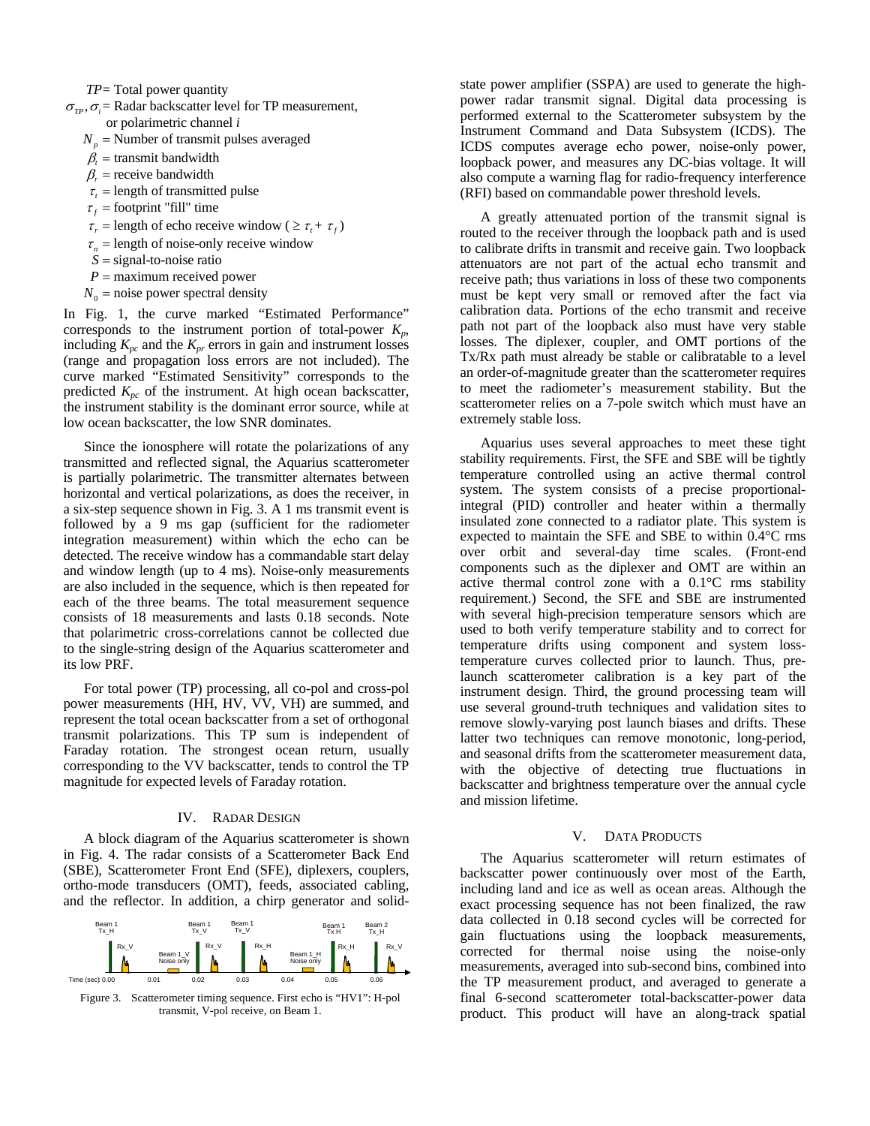- *TP*= Total power quantity
- $\sigma_{rp}, \sigma_{\bar{r}}$  Radar backscatter level for TP measurement, or polarimetric channel *i*
	- $N_p$  = Number of transmit pulses averaged
	- $\beta_t$  = transmit bandwidth
	- $\beta_r$  = receive bandwidth
	- $\tau$  = length of transmitted pulse
	- $\tau_f$  = footprint "fill" time
	- $\tau_r$  = length of echo receive window (  $\geq \tau_t + \tau_f$ )
	- $\tau_n$  = length of noise-only receive window
	- *S* = signal-to-noise ratio
	- *P* = maximum received power
	- $N_0$  = noise power spectral density

In Fig. 1, the curve marked "Estimated Performance" corresponds to the instrument portion of total-power  $K_n$ , including  $K_{pc}$  and the  $K_{pr}$  errors in gain and instrument losses (range and propagation loss errors are not included). The curve marked "Estimated Sensitivity" corresponds to the predicted *Kpc* of the instrument. At high ocean backscatter, the instrument stability is the dominant error source, while at low ocean backscatter, the low SNR dominates.

Since the ionosphere will rotate the polarizations of any transmitted and reflected signal, the Aquarius scatterometer is partially polarimetric. The transmitter alternates between horizontal and vertical polarizations, as does the receiver, in a six-step sequence shown in Fig. 3. A 1 ms transmit event is followed by a 9 ms gap (sufficient for the radiometer integration measurement) within which the echo can be detected. The receive window has a commandable start delay and window length (up to 4 ms). Noise-only measurements are also included in the sequence, which is then repeated for each of the three beams. The total measurement sequence consists of 18 measurements and lasts 0.18 seconds. Note that polarimetric cross-correlations cannot be collected due to the single-string design of the Aquarius scatterometer and its low PRF.

For total power (TP) processing, all co-pol and cross-pol power measurements (HH, HV, VV, VH) are summed, and represent the total ocean backscatter from a set of orthogonal transmit polarizations. This TP sum is independent of Faraday rotation. The strongest ocean return, usually corresponding to the VV backscatter, tends to control the TP magnitude for expected levels of Faraday rotation.

# IV. RADAR DESIGN

A block diagram of the Aquarius scatterometer is shown in Fig. 4. The radar consists of a Scatterometer Back End (SBE), Scatterometer Front End (SFE), diplexers, couplers, ortho-mode transducers (OMT), feeds, associated cabling, and the reflector. In addition, a chirp generator and solid-



Figure 3. Scatterometer timing sequence. First echo is "HV1": H-pol transmit, V-pol receive, on Beam 1.

state power amplifier (SSPA) are used to generate the highpower radar transmit signal. Digital data processing is performed external to the Scatterometer subsystem by the Instrument Command and Data Subsystem (ICDS). The ICDS computes average echo power, noise-only power, loopback power, and measures any DC-bias voltage. It will also compute a warning flag for radio-frequency interference (RFI) based on commandable power threshold levels.

A greatly attenuated portion of the transmit signal is routed to the receiver through the loopback path and is used to calibrate drifts in transmit and receive gain. Two loopback attenuators are not part of the actual echo transmit and receive path; thus variations in loss of these two components must be kept very small or removed after the fact via calibration data. Portions of the echo transmit and receive path not part of the loopback also must have very stable losses. The diplexer, coupler, and OMT portions of the Tx/Rx path must already be stable or calibratable to a level an order-of-magnitude greater than the scatterometer requires to meet the radiometer's measurement stability. But the scatterometer relies on a 7-pole switch which must have an extremely stable loss.

Aquarius uses several approaches to meet these tight stability requirements. First, the SFE and SBE will be tightly temperature controlled using an active thermal control system. The system consists of a precise proportionalintegral (PID) controller and heater within a thermally insulated zone connected to a radiator plate. This system is expected to maintain the SFE and SBE to within 0.4°C rms over orbit and several-day time scales. (Front-end components such as the diplexer and OMT are within an active thermal control zone with a 0.1°C rms stability requirement.) Second, the SFE and SBE are instrumented with several high-precision temperature sensors which are used to both verify temperature stability and to correct for temperature drifts using component and system losstemperature curves collected prior to launch. Thus, prelaunch scatterometer calibration is a key part of the instrument design. Third, the ground processing team will use several ground-truth techniques and validation sites to remove slowly-varying post launch biases and drifts. These latter two techniques can remove monotonic, long-period, and seasonal drifts from the scatterometer measurement data, with the objective of detecting true fluctuations in backscatter and brightness temperature over the annual cycle and mission lifetime.

# V. DATA PRODUCTS

The Aquarius scatterometer will return estimates of backscatter power continuously over most of the Earth, including land and ice as well as ocean areas. Although the exact processing sequence has not been finalized, the raw data collected in 0.18 second cycles will be corrected for gain fluctuations using the loopback measurements, corrected for thermal noise using the noise-only measurements, averaged into sub-second bins, combined into the TP measurement product, and averaged to generate a final 6-second scatterometer total-backscatter-power data product. This product will have an along-track spatial